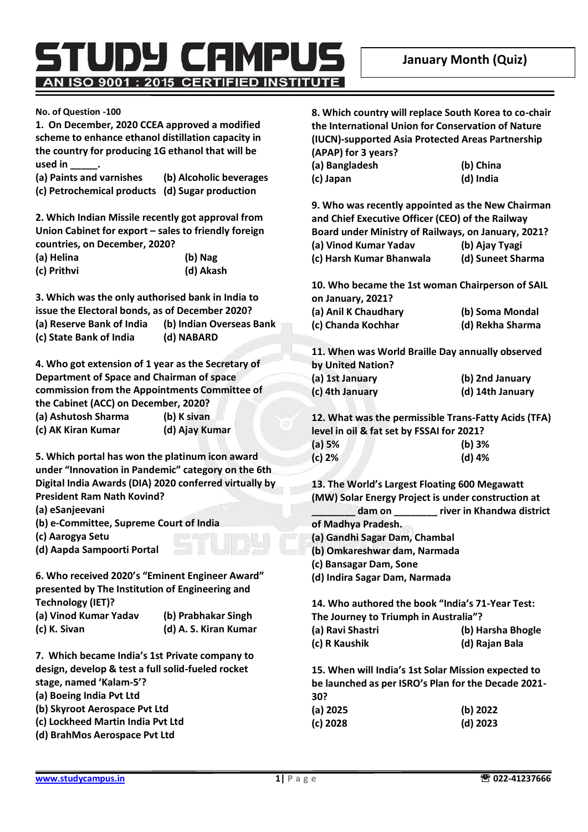rupy campus AN ISO 9001 : 2015 CERTIFIED INSTITUTE

**No. of Question -100**

**1. On December, 2020 CCEA approved a modified scheme to enhance ethanol distillation capacity in the country for producing 1G ethanol that will be used in \_\_\_\_\_.**

**(a) Paints and varnishes (b) Alcoholic beverages (c) Petrochemical products (d) Sugar production**

**2. Which Indian Missile recently got approval from Union Cabinet for export – sales to friendly foreign countries, on December, 2020?**

| (a) Helina  | (b) Nag   |
|-------------|-----------|
| (c) Prithvi | (d) Akash |

**3. Which was the only authorised bank in India to issue the Electoral bonds, as of December 2020? (a) Reserve Bank of India (b) Indian Overseas Bank (c) State Bank of India (d) NABARD**

**4. Who got extension of 1 year as the Secretary of Department of Space and Chairman of space commission from the Appointments Committee of the Cabinet (ACC) on December, 2020? (a) Ashutosh Sharma (b) K sivan (c) AK Kiran Kumar (d) Ajay Kumar**

**5. Which portal has won the platinum icon award under "Innovation in Pandemic" category on the 6th Digital India Awards (DIA) 2020 conferred virtually by President Ram Nath Kovind?**

**(a) eSanjeevani**

- **(b) e-Committee, Supreme Court of India**
- **(c) Aarogya Setu**
- **(d) Aapda Sampoorti Portal**

**6. Who received 2020's "Eminent Engineer Award" presented by The Institution of Engineering and Technology (IET)? (a) Vinod Kumar Yadav (b) Prabhakar Singh (c) K. Sivan (d) A. S. Kiran Kumar**

**7. Which became India's 1st Private company to design, develop & test a full solid-fueled rocket stage, named 'Kalam-5'?**

**(a) Boeing India Pvt Ltd**

- **(b) Skyroot Aerospace Pvt Ltd**
- **(c) Lockheed Martin India Pvt Ltd**
- **(d) BrahMos Aerospace Pvt Ltd**

**8. Which country will replace South Korea to co-chair the International Union for Conservation of Nature (IUCN)-supported Asia Protected Areas Partnership (APAP) for 3 years?**

| (a) Bangladesh | (b) China |
|----------------|-----------|
| (c) Japan      | (d) India |

**9. Who was recently appointed as the New Chairman and Chief Executive Officer (CEO) of the Railway Board under Ministry of Railways, on January, 2021?**

**(a) Vinod Kumar Yadav (b) Ajay Tyagi (c) Harsh Kumar Bhanwala (d) Suneet Sharma**

**10. Who became the 1st woman Chairperson of SAIL on January, 2021?**

**(a) Anil K Chaudhary (b) Soma Mondal (c) Chanda Kochhar (d) Rekha Sharma**

**11. When was World Braille Day annually observed by United Nation?**

**(a) 1st January (b) 2nd January (c) 4th January (d) 14th January**

**12. What was the permissible Trans-Fatty Acids (TFA) level in oil & fat set by FSSAI for 2021? (a) 5% (b) 3%**

| (d) 4% |
|--------|
|        |

**13. The World's Largest Floating 600 Megawatt (MW) Solar Energy Project is under construction at \_\_\_\_\_\_\_\_ dam on \_\_\_\_\_\_\_\_ river in Khandwa district** 

**of Madhya Pradesh.**

- **(a) Gandhi Sagar Dam, Chambal**
- **(b) Omkareshwar dam, Narmada**
- **(c) Bansagar Dam, Sone**
- **(d) Indira Sagar Dam, Narmada**

**14. Who authored the book "India's 71-Year Test: The Journey to Triumph in Australia"?**

| (a) Ravi Shastri | (b) Harsha Bhogle |
|------------------|-------------------|
| (c) R Kaushik    | (d) Rajan Bala    |

**15. When will India's 1st Solar Mission expected to be launched as per ISRO's Plan for the Decade 2021- 30?**

| (a) 2025 | (b) 2022   |
|----------|------------|
| (c) 2028 | $(d)$ 2023 |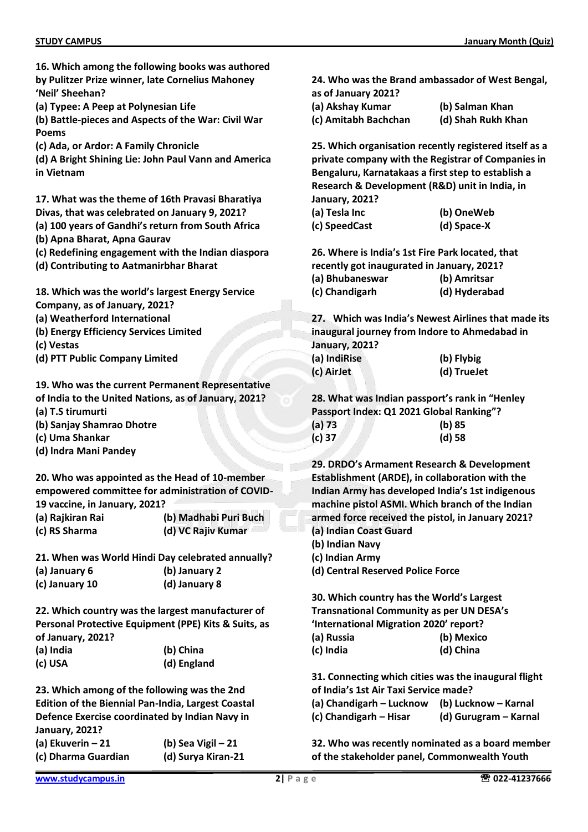|                                         | 16. Which among the following books was authored          |                  |
|-----------------------------------------|-----------------------------------------------------------|------------------|
|                                         | by Pulitzer Prize winner, late Cornelius Mahoney          | 24. Who          |
| 'Neil' Sheehan?                         |                                                           | as of Janu       |
| (a) Typee: A Peep at Polynesian Life    |                                                           | (a) Aksha        |
| <b>Poems</b>                            | (b) Battle-pieces and Aspects of the War: Civil War       | (c) Amital       |
| (c) Ada, or Ardor: A Family Chronicle   |                                                           | 25. Which        |
|                                         | (d) A Bright Shining Lie: John Paul Vann and America      | private co       |
| in Vietnam                              |                                                           | Bengalur         |
|                                         |                                                           | <b>Research</b>  |
|                                         | 17. What was the theme of 16th Pravasi Bharatiya          | January,         |
|                                         | Divas, that was celebrated on January 9, 2021?            | (a) Tesla        |
|                                         | (a) 100 years of Gandhi's return from South Africa        | (c) Speed        |
| (b) Apna Bharat, Apna Gaurav            |                                                           |                  |
|                                         | (c) Redefining engagement with the Indian diaspora        | 26. Wher         |
| (d) Contributing to Aatmanirbhar Bharat |                                                           | recently g       |
|                                         |                                                           | (a) Bhuba        |
|                                         | 18. Which was the world's largest Energy Service          | (c) Chand        |
| Company, as of January, 2021?           |                                                           |                  |
| (a) Weatherford International           |                                                           | 27. Whio         |
| (b) Energy Efficiency Services Limited  |                                                           | inaugural        |
| (c) Vestas                              |                                                           | January,         |
| (d) PTT Public Company Limited          |                                                           | (a) IndiRi:      |
|                                         |                                                           | (c) AirJet       |
|                                         | 19. Who was the current Permanent Representative          |                  |
|                                         | of India to the United Nations, as of January, 2021?      | 28. What         |
| (a) T.S tirumurti                       |                                                           | Passport         |
| (b) Sanjay Shamrao Dhotre               |                                                           | $(a)$ 73         |
| (c) Uma Shankar                         |                                                           | $(c)$ 37         |
| (d) Indra Mani Pandey                   |                                                           |                  |
|                                         |                                                           | <b>29. DRDC</b>  |
|                                         | 20. Who was appointed as the Head of 10-member            | <b>Establish</b> |
|                                         | empowered committee for administration of COVID-          | <b>Indian Ar</b> |
| 19 vaccine, in January, 2021?           |                                                           | machine          |
| (a) Rajkiran Rai                        | (b) Madhabi Puri Buch                                     | armed fo         |
| (c) RS Sharma                           | (d) VC Rajiv Kumar                                        | (a) Indian       |
|                                         |                                                           | (b) Indian       |
|                                         | 21. When was World Hindi Day celebrated annually?         | (c) Indian       |
| (a) January 6                           | (b) January 2                                             | (d) Centra       |
| (c) January 10                          | (d) January 8                                             |                  |
|                                         |                                                           | 30. Which        |
|                                         | 22. Which country was the largest manufacturer of         | Transnati        |
|                                         | Personal Protective Equipment (PPE) Kits & Suits, as      | 'Internati       |
| of January, 2021?                       |                                                           | (a) Russia       |
| (a) India                               | (b) China                                                 | (c) India        |
| (c) USA                                 | (d) England                                               |                  |
|                                         |                                                           | 31. Conne        |
|                                         | 23. Which among of the following was the 2nd              | of India's       |
|                                         | <b>Edition of the Biennial Pan-India, Largest Coastal</b> | (a) Chand        |

**Defence Exercise coordinated by Indian Navy in January, 2021? (a) Ekuverin – 21 (b) Sea Vigil – 21 (c) Dharma Guardian (d) Surya Kiran-21**

**(a) Akshay Kumar (b) Salman Khan**

**(c) Amitabh Bachchan (d) Shah Rukh Khan**

**25. Which organisation recently registered itself as a private company with the Registrar of Companies in Bengaluru, Karnatakaas a first step to establish a Research & Development (R&D) unit in India, in January, 2021?**

| (a) Tesla Inc | (b) OneWeb  |
|---------------|-------------|
| (c) SpeedCast | (d) Space-X |

**26. Where is India's 1st Fire Park located, that recently got inaugurated in January, 2021? (a) Bhubaneswar (b) Amritsar (c) Chandigarh (d) Hyderabad**

**27. Which was India's Newest Airlines that made its iourney from Indore to Ahmedabad in January, 2021?**

| (a) IndiRise | (b) Flybig  |
|--------------|-------------|
| (c) AirJet   | (d) TrueJet |

**28. What was Indian passport's rank in "Henley Passport Index: Q1 2021 Global Ranking"? (a) 73 (b) 85**

| $\mathbf{v}$ | ,~, ~~   |
|--------------|----------|
| (c) 37       | $(d)$ 58 |
|              |          |

*D***'s Armament Research & Development ment (ARDE), in collaboration with the Indian Army has developed India's 1st indigenous machine pistol ASMI. Which branch of the Indian armed force received the pistol, in January 2021? (Coast Guard** 

- **(b) Indian Navy**
- Army

**(d) Central Reserved Police Force**

**30. Which country has the World's Largest Translational Community as per UN DESA's ional Migration 2020' report? (a) Russia (b) Mexico (c) India (d) China**

**31. Connecting which cities was the inaugural flight 1st Air Taxi Service made?** 

**(a) Chandigarh – Lucknow (b) Lucknow – Karnal**

**(c) Chandigarh – Hisar (d) Gurugram – Karnal**

**32. Who was recently nominated as a board member of the stakeholder panel, Commonwealth Youth**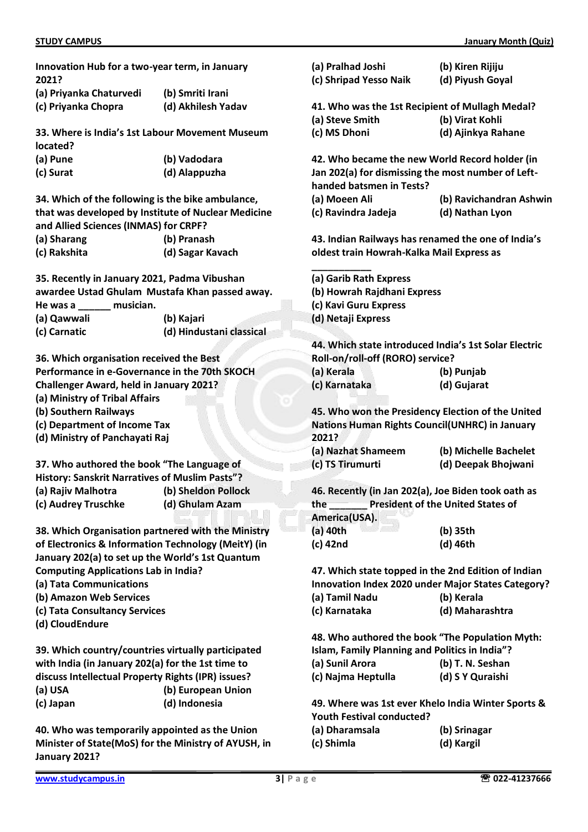| Innovation Hub for a two-year term, in January<br>2021?        |                                                     | (a) Pralhad Joshi<br>(c) Shripad Yesso Naik         | (b) Kiren Rijiju<br>(d) Piyush Goyal                  |
|----------------------------------------------------------------|-----------------------------------------------------|-----------------------------------------------------|-------------------------------------------------------|
| (a) Priyanka Chaturvedi                                        | (b) Smriti Irani                                    |                                                     |                                                       |
| (c) Priyanka Chopra<br>(d) Akhilesh Yadav                      |                                                     | 41. Who was the 1st Recipient of Mullagh Medal?     |                                                       |
|                                                                |                                                     | (a) Steve Smith                                     | (b) Virat Kohli                                       |
|                                                                | 33. Where is India's 1st Labour Movement Museum     | (c) MS Dhoni                                        | (d) Ajinkya Rahane                                    |
| located?                                                       |                                                     |                                                     |                                                       |
| (a) Pune                                                       | (b) Vadodara                                        |                                                     | 42. Who became the new World Record holder (in        |
| (c) Surat                                                      | (d) Alappuzha                                       |                                                     | Jan 202(a) for dismissing the most number of Left-    |
|                                                                |                                                     | handed batsmen in Tests?                            |                                                       |
|                                                                |                                                     |                                                     | (b) Ravichandran Ashwir                               |
| 34. Which of the following is the bike ambulance,              |                                                     | (a) Moeen Ali                                       |                                                       |
|                                                                | that was developed by Institute of Nuclear Medicine | (c) Ravindra Jadeja                                 | (d) Nathan Lyon                                       |
| and Allied Sciences (INMAS) for CRPF?                          |                                                     |                                                     |                                                       |
| (a) Sharang                                                    | (b) Pranash                                         |                                                     | 43. Indian Railways has renamed the one of India's    |
| (c) Rakshita                                                   | (d) Sagar Kavach                                    | oldest train Howrah-Kalka Mail Express as           |                                                       |
| 35. Recently in January 2021, Padma Vibushan                   |                                                     | (a) Garib Rath Express                              |                                                       |
|                                                                | awardee Ustad Ghulam Mustafa Khan passed away.      | (b) Howrah Rajdhani Express                         |                                                       |
| He was a<br>musician.                                          |                                                     | (c) Kavi Guru Express                               |                                                       |
| (a) Qawwali                                                    | (b) Kajari                                          | (d) Netaji Express                                  |                                                       |
| (c) Carnatic                                                   | (d) Hindustani classical                            |                                                     |                                                       |
|                                                                |                                                     |                                                     | 44. Which state introduced India's 1st Solar Electric |
| 36. Which organisation received the Best                       |                                                     | Roll-on/roll-off (RORO) service?                    |                                                       |
| Performance in e-Governance in the 70th SKOCH                  |                                                     | (a) Kerala                                          | (b) Punjab                                            |
| <b>Challenger Award, held in January 2021?</b>                 |                                                     | (c) Karnataka                                       | (d) Gujarat                                           |
| (a) Ministry of Tribal Affairs                                 |                                                     |                                                     |                                                       |
| (b) Southern Railways                                          |                                                     |                                                     | 45. Who won the Presidency Election of the United     |
|                                                                |                                                     |                                                     | <b>Nations Human Rights Council(UNHRC) in January</b> |
| (c) Department of Income Tax<br>(d) Ministry of Panchayati Raj |                                                     | 2021?                                               |                                                       |
|                                                                |                                                     |                                                     |                                                       |
|                                                                |                                                     | (a) Nazhat Shameem                                  | (b) Michelle Bachelet                                 |
| 37. Who authored the book "The Language of                     |                                                     | (c) TS Tirumurti                                    | (d) Deepak Bhojwani                                   |
| History: Sanskrit Narratives of Muslim Pasts"?                 |                                                     |                                                     |                                                       |
| (a) Rajiv Malhotra                                             | (b) Sheldon Pollock                                 | 46. Recently (in Jan 202(a), Joe Biden took oath as |                                                       |
| (c) Audrey Truschke                                            | (d) Ghulam Azam                                     | the<br>America(USA).                                | <b>President of the United States of</b>              |
|                                                                |                                                     | (a) 40th                                            |                                                       |
| 38. Which Organisation partnered with the Ministry             |                                                     |                                                     | (b) 35th                                              |
| of Electronics & Information Technology (MeitY) (in            |                                                     | (c) 42nd                                            | (d) 46th                                              |
| January 202(a) to set up the World's 1st Quantum               |                                                     |                                                     |                                                       |
| <b>Computing Applications Lab in India?</b>                    |                                                     |                                                     | 47. Which state topped in the 2nd Edition of Indian   |
| (a) Tata Communications                                        |                                                     |                                                     | Innovation Index 2020 under Major States Category?    |
| (b) Amazon Web Services                                        |                                                     | (a) Tamil Nadu                                      | (b) Kerala                                            |
| (c) Tata Consultancy Services                                  |                                                     | (c) Karnataka                                       | (d) Maharashtra                                       |
| (d) CloudEndure                                                |                                                     |                                                     |                                                       |
|                                                                |                                                     |                                                     | 48. Who authored the book "The Population Myth:       |
| 39. Which country/countries virtually participated             |                                                     | Islam, Family Planning and Politics in India"?      |                                                       |
| with India (in January 202(a) for the 1st time to              |                                                     | (a) Sunil Arora                                     | (b) T. N. Seshan                                      |
| discuss Intellectual Property Rights (IPR) issues?             |                                                     | (c) Najma Heptulla                                  | (d) S Y Quraishi                                      |
| (a) USA                                                        | (b) European Union                                  |                                                     |                                                       |
| (c) Japan                                                      | (d) Indonesia                                       |                                                     | 49. Where was 1st ever Khelo India Winter Sports &    |
|                                                                |                                                     | <b>Youth Festival conducted?</b>                    |                                                       |
| 40. Who was temporarily appointed as the Union                 |                                                     | (a) Dharamsala                                      | (b) Srinagar                                          |
| Minister of State(MoS) for the Ministry of AYUSH, in           |                                                     | (c) Shimla                                          | (d) Kargil                                            |

**Minister of State(MoS) for the Ministry of AYUSH, in January 2021?**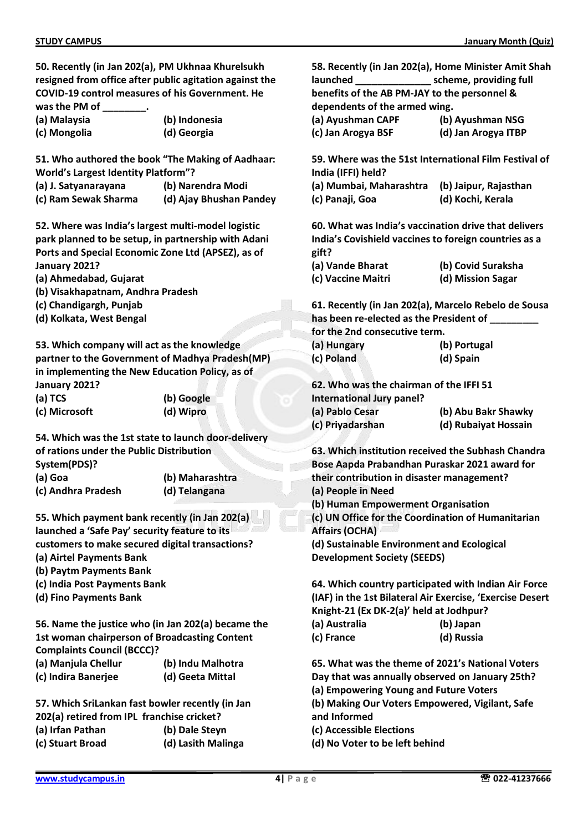**50. Recently (in Jan 202(a), PM Ukhnaa Khurelsukh resigned from office after public agitation against the COVID-19 control measures of his Government. He was the PM of \_\_\_\_\_\_\_\_.**

| (a) Malaysia | (b) Indonesia |
|--------------|---------------|
| (c) Mongolia | (d) Georgia   |

**51. Who authored the book "The Making of Aadhaar: World's Largest Identity Platform"?**

- **(a) J. Satyanarayana (b) Narendra Modi**
- **(c) Ram Sewak Sharma (d) Ajay Bhushan Pandey**

**52. Where was India's largest multi-model logistic park planned to be setup, in partnership with Adani Ports and Special Economic Zone Ltd (APSEZ), as of January 2021?**

- **(a) Ahmedabad, Gujarat**
- **(b) Visakhapatnam, Andhra Pradesh**
- **(c) Chandigargh, Punjab**
- **(d) Kolkata, West Bengal**

**53. Which company will act as the knowledge partner to the Government of Madhya Pradesh(MP) in implementing the New Education Policy, as of January 2021?**

| (a) TCS       | (b) Google |
|---------------|------------|
| (c) Microsoft | (d) Wipro  |

**54. Which was the 1st state to launch door-delivery of rations under the Public Distribution System(PDS)?**

**(a) Goa (b) Maharashtra (c) Andhra Pradesh (d) Telangana**

**55. Which payment bank recently (in Jan 202(a) launched a 'Safe Pay' security feature to its customers to make secured digital transactions? (a) Airtel Payments Bank**

- **(b) Paytm Payments Bank**
- **(c) India Post Payments Bank**
- **(d) Fino Payments Bank**

**56. Name the justice who (in Jan 202(a) became the 1st woman chairperson of Broadcasting Content Complaints Council (BCCC)?**

- **(a) Manjula Chellur (b) Indu Malhotra**
- **(c) Indira Banerjee (d) Geeta Mittal**

**57. Which SriLankan fast bowler recently (in Jan 202(a) retired from IPL franchise cricket? (a) Irfan Pathan (b) Dale Steyn (c) Stuart Broad (d) Lasith Malinga**

**58. Recently (in Jan 202(a), Home Minister Amit Shah launched \_\_\_\_\_\_\_\_\_\_\_\_\_\_ scheme, providing full benefits of the AB PM-JAY to the personnel & dependents of the armed wing. (a) Ayushman CAPF (b) Ayushman NSG (c) Jan Arogya BSF (d) Jan Arogya ITBP 59. Where was the 51st International Film Festival of India (IFFI) held? (a) Mumbai, Maharashtra (b) Jaipur, Rajasthan (c) Panaji, Goa (d) Kochi, Kerala 60. What was India's vaccination drive that delivers India's Covishield vaccines to foreign countries as a gift? (a) Vande Bharat (b) Covid Suraksha (c) Vaccine Maitri (d) Mission Sagar**

**61. Recently (in Jan 202(a), Marcelo Rebelo de Sousa has been re-elected as the President of \_\_\_\_\_\_\_\_\_ for the 2nd consecutive term.**

| ייטו נווכ בווט כטווטככטנוזכ נכוווו: |              |
|-------------------------------------|--------------|
| (a) Hungary                         | (b) Portugal |
| (c) Poland                          | (d) Spain    |

**62. Who was the chairman of the IFFI 51 International Jury panel? (a) Pablo Cesar (b) Abu Bakr Shawky (c) Priyadarshan (d) Rubaiyat Hossain**

**63. Which institution received the Subhash Chandra Bose Aapda Prabandhan Puraskar 2021 award for their contribution in disaster management? (a) People in Need (b) Human Empowerment Organisation (c) UN Office for the Coordination of Humanitarian Affairs (OCHA) (d) Sustainable Environment and Ecological Development Society (SEEDS)**

**64. Which country participated with Indian Air Force (IAF) in the 1st Bilateral Air Exercise, 'Exercise Desert Knight-21 (Ex DK-2(a)' held at Jodhpur? (a) Australia (b) Japan**

| 147.14314.414 | 10130      |
|---------------|------------|
| (c) France    | (d) Russia |

**65. What was the theme of 2021's National Voters Day that was annually observed on January 25th? (a) Empowering Young and Future Voters (b) Making Our Voters Empowered, Vigilant, Safe and Informed**

**(c) Accessible Elections**

**(d) No Voter to be left behind**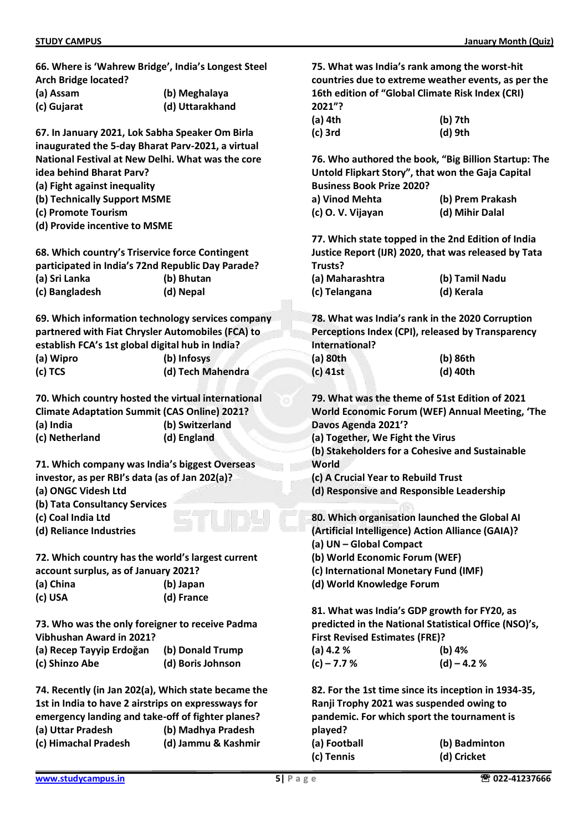**66. Where is 'Wahrew Bridge', India's Longest Steel Arch Bridge located?**

|  |          | (a) Assam |  |  |  |
|--|----------|-----------|--|--|--|
|  | $\cdots$ |           |  |  |  |

**(c) Gujarat (d) Uttarakhand**

**67. In January 2021, Lok Sabha Speaker Om Birla inaugurated the 5-day Bharat Parv-2021, a virtual National Festival at New Delhi. What was the core** 

**(a) Assam (b) Meghalaya**

**idea behind Bharat Parv?**

- **(a) Fight against inequality**
- **(b) Technically Support MSME**
- **(c) Promote Tourism**
- **(d) Provide incentive to MSME**

**68. Which country's Triservice force Contingent participated in India's 72nd Republic Day Parade? (a) Sri Lanka (b) Bhutan (c) Bangladesh (d) Nepal**

**69. Which information technology services company partnered with Fiat Chrysler Automobiles (FCA) to establish FCA's 1st global digital hub in India? (a) Wipro (b) Infosys**

**(c) TCS (d) Tech Mahendra**

**70. Which country hosted the virtual international Climate Adaptation Summit (CAS Online) 2021? (a) India (b) Switzerland (c) Netherland (d) England**

**71. Which company was India's biggest Overseas investor, as per RBI's data (as of Jan 202(a)?**

- **(a) ONGC Videsh Ltd**
- **(b) Tata Consultancy Services**
- **(c) Coal India Ltd**
- **(d) Reliance Industries**

**72. Which country has the world's largest current account surplus, as of January 2021?**

- **(a) China (b) Japan**
- **(c) USA (d) France**

**73. Who was the only foreigner to receive Padma Vibhushan Award in 2021?**

**(a) Recep Tayyip Erdoğan (b) Donald Trump (c) Shinzo Abe (d) Boris Johnson**

**74. Recently (in Jan 202(a), Which state became the 1st in India to have 2 airstrips on expressways for emergency landing and take-off of fighter planes? (a) Uttar Pradesh (b) Madhya Pradesh (c) Himachal Pradesh (d) Jammu & Kashmir**

**75. What was India's rank among the worst-hit countries due to extreme weather events, as per the 16th edition of "Global Climate Risk Index (CRI) 2021"? (a) 4th (b) 7th**

| (a) 4th | (D) /th |
|---------|---------|
| (c) 3rd | (d) 9th |

**76. Who authored the book, "Big Billion Startup: The Untold Flipkart Story", that won the Gaja Capital Business Book Prize 2020?**

| a) Vinod Mehta    | (b) Prem Prakash |  |
|-------------------|------------------|--|
| (c) O. V. Vijayan | (d) Mihir Dalal  |  |

**77. Which state topped in the 2nd Edition of India Justice Report (IJR) 2020, that was released by Tata Trusts?**

| (a) Maharashtra | (b) Tamil Nadu |
|-----------------|----------------|
| (c) Telangana   | (d) Kerala     |

**78. What was India's rank in the 2020 Corruption Perceptions Index (CPI), released by Transparency International?**

| (a) 80th | (b) 86th |
|----------|----------|
| (c) 41st | (d) 40th |

**79. What was the theme of 51st Edition of 2021 World Economic Forum (WEF) Annual Meeting, 'The Davos Agenda 2021'?**

**(a) Together, We Fight the Virus**

**(b) Stakeholders for a Cohesive and Sustainable World**

**(c) A Crucial Year to Rebuild Trust**

**(d) Responsive and Responsible Leadership**

**80. Which organisation launched the Global AI (Artificial Intelligence) Action Alliance (GAIA)? (a) UN – Global Compact**

**(b) World Economic Forum (WEF)**

**(c) International Monetary Fund (IMF)**

**(d) World Knowledge Forum**

**81. What was India's GDP growth for FY20, as predicted in the National Statistical Office (NSO)'s, First Revised Estimates (FRE)?**

| (a) $4.2%$    | (b) $4%$     |
|---------------|--------------|
| $(c) - 7.7 %$ | $(d) - 4.2%$ |

**82. For the 1st time since its inception in 1934-35, Ranji Trophy 2021 was suspended owing to pandemic. For which sport the tournament is played? (a) Football (b) Badminton (c) Tennis (d) Cricket**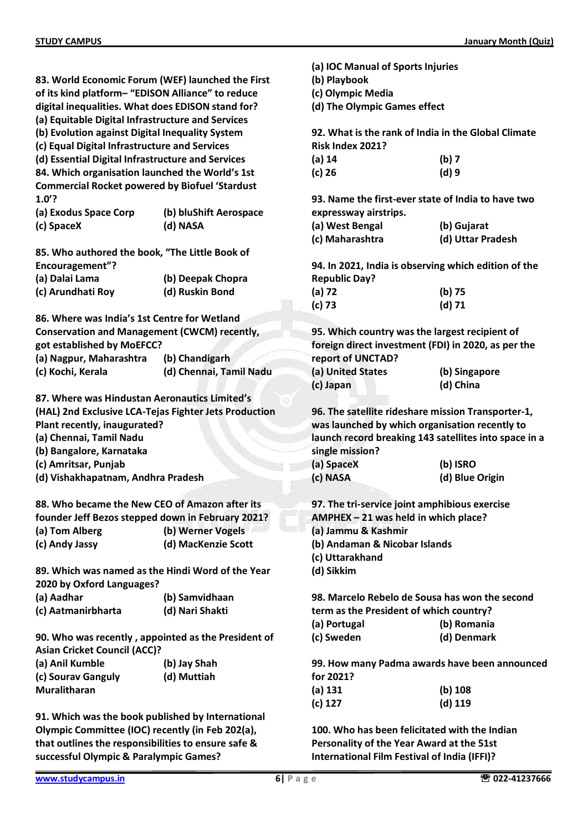|                                                       |                         | (a) IOC Manual of Sports Injuries                          |                                                       |  |
|-------------------------------------------------------|-------------------------|------------------------------------------------------------|-------------------------------------------------------|--|
| 83. World Economic Forum (WEF) launched the First     |                         | (b) Playbook                                               |                                                       |  |
| of its kind platform-"EDISON Alliance" to reduce      |                         | (c) Olympic Media                                          |                                                       |  |
| digital inequalities. What does EDISON stand for?     |                         | (d) The Olympic Games effect                               |                                                       |  |
| (a) Equitable Digital Infrastructure and Services     |                         |                                                            |                                                       |  |
| (b) Evolution against Digital Inequality System       |                         |                                                            | 92. What is the rank of India in the Global Climate   |  |
| (c) Equal Digital Infrastructure and Services         |                         | Risk Index 2021?                                           |                                                       |  |
| (d) Essential Digital Infrastructure and Services     |                         | $(a)$ 14                                                   | (b)7                                                  |  |
| 84. Which organisation launched the World's 1st       |                         | $(c)$ 26                                                   | (d)9                                                  |  |
| <b>Commercial Rocket powered by Biofuel 'Stardust</b> |                         |                                                            |                                                       |  |
| $1.0$ ?                                               |                         | 93. Name the first-ever state of India to have two         |                                                       |  |
|                                                       |                         |                                                            |                                                       |  |
| (a) Exodus Space Corp                                 | (b) bluShift Aerospace  | expressway airstrips.                                      |                                                       |  |
| (c) SpaceX                                            | (d) NASA                | (a) West Bengal                                            | (b) Gujarat                                           |  |
|                                                       |                         | (c) Maharashtra                                            | (d) Uttar Pradesh                                     |  |
| 85. Who authored the book, "The Little Book of        |                         |                                                            |                                                       |  |
| Encouragement"?                                       |                         |                                                            | 94. In 2021, India is observing which edition of the  |  |
| (a) Dalai Lama                                        | (b) Deepak Chopra       | <b>Republic Day?</b>                                       |                                                       |  |
| (c) Arundhati Roy                                     | (d) Ruskin Bond         | $(a)$ 72                                                   | (b) 75                                                |  |
|                                                       |                         | (c) 73                                                     | $(d)$ 71                                              |  |
| 86. Where was India's 1st Centre for Wetland          |                         |                                                            |                                                       |  |
| <b>Conservation and Management (CWCM) recently,</b>   |                         | 95. Which country was the largest recipient of             |                                                       |  |
| got established by MoEFCC?                            |                         |                                                            | foreign direct investment (FDI) in 2020, as per the   |  |
| (a) Nagpur, Maharashtra                               | (b) Chandigarh          | report of UNCTAD?                                          |                                                       |  |
| (c) Kochi, Kerala                                     | (d) Chennai, Tamil Nadu | (a) United States                                          | (b) Singapore                                         |  |
|                                                       |                         | (c) Japan                                                  | (d) China                                             |  |
| 87. Where was Hindustan Aeronautics Limited's         |                         |                                                            |                                                       |  |
| (HAL) 2nd Exclusive LCA-Tejas Fighter Jets Production |                         |                                                            | 96. The satellite rideshare mission Transporter-1,    |  |
| Plant recently, inaugurated?                          |                         |                                                            | was launched by which organisation recently to        |  |
|                                                       |                         |                                                            |                                                       |  |
| (a) Chennai, Tamil Nadu                               |                         |                                                            | launch record breaking 143 satellites into space in a |  |
| (b) Bangalore, Karnataka                              |                         | single mission?                                            |                                                       |  |
| (c) Amritsar, Punjab                                  |                         | (a) SpaceX                                                 | (b) ISRO                                              |  |
| (d) Vishakhapatnam, Andhra Pradesh                    |                         | (c) NASA                                                   | (d) Blue Origin                                       |  |
|                                                       |                         |                                                            |                                                       |  |
| 88. Who became the New CEO of Amazon after its        |                         | 97. The tri-service joint amphibious exercise              |                                                       |  |
| founder Jeff Bezos stepped down in February 2021?     |                         | AMPHEX - 21 was held in which place?                       |                                                       |  |
| (a) Tom Alberg                                        | (b) Werner Vogels       | (a) Jammu & Kashmir                                        |                                                       |  |
| (c) Andy Jassy                                        | (d) MacKenzie Scott     | (b) Andaman & Nicobar Islands                              |                                                       |  |
|                                                       |                         | (c) Uttarakhand                                            |                                                       |  |
| 89. Which was named as the Hindi Word of the Year     |                         | (d) Sikkim                                                 |                                                       |  |
| 2020 by Oxford Languages?                             |                         |                                                            |                                                       |  |
| (a) Aadhar                                            | (b) Samvidhaan          |                                                            | 98. Marcelo Rebelo de Sousa has won the second        |  |
| (c) Aatmanirbharta                                    | (d) Nari Shakti         | term as the President of which country?                    |                                                       |  |
|                                                       |                         | (a) Portugal                                               | (b) Romania                                           |  |
| 90. Who was recently, appointed as the President of   |                         | (c) Sweden                                                 | (d) Denmark                                           |  |
| <b>Asian Cricket Council (ACC)?</b>                   |                         |                                                            |                                                       |  |
| (a) Anil Kumble                                       | (b) Jay Shah            |                                                            |                                                       |  |
|                                                       |                         | 99. How many Padma awards have been announced<br>for 2021? |                                                       |  |
| (c) Sourav Ganguly                                    | (d) Muttiah             |                                                            |                                                       |  |
| <b>Muralitharan</b>                                   |                         | (a) 131                                                    | (b) 108                                               |  |
|                                                       |                         | $(c)$ 127                                                  | $(d)$ 119                                             |  |
| 91. Which was the book published by International     |                         |                                                            |                                                       |  |
| Olympic Committee (IOC) recently (in Feb 202(a),      |                         | 100. Who has been felicitated with the Indian              |                                                       |  |
| that outlines the responsibilities to ensure safe &   |                         | Personality of the Year Award at the 51st                  |                                                       |  |
| successful Olympic & Paralympic Games?                |                         | International Film Festival of India (IFFI)?               |                                                       |  |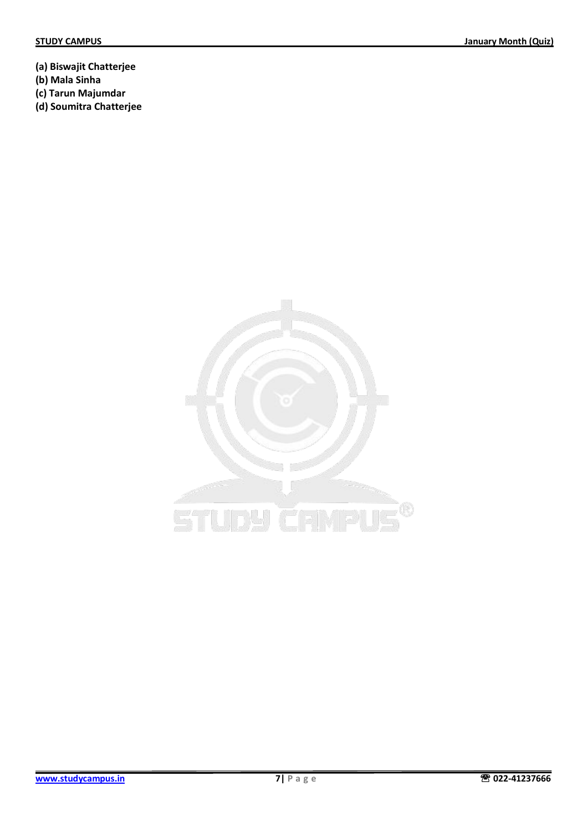**(a) Biswajit Chatterjee**

- **(b) Mala Sinha**
- **(c) Tarun Majumdar**
- **(d) Soumitra Chatterjee**